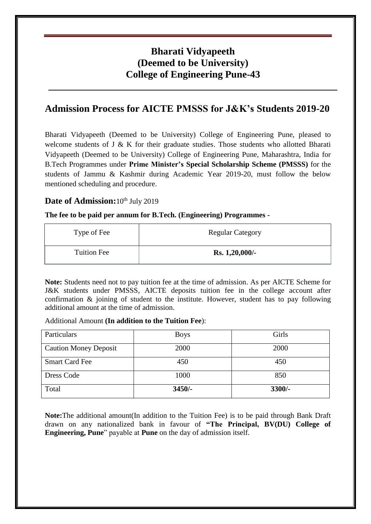# **Bharati Vidyapeeth (Deemed to be University) College of Engineering Pune-43**

**\_\_\_\_\_\_\_\_\_\_\_\_\_\_\_\_\_\_\_\_\_\_\_\_\_\_\_\_\_\_\_\_\_\_\_\_\_\_\_\_\_\_\_\_\_\_\_\_\_\_\_\_\_\_\_\_\_\_**

## **Admission Process for AICTE PMSSS for J&K's Students 2019-20**

Bharati Vidyapeeth (Deemed to be University) College of Engineering Pune, pleased to welcome students of J & K for their graduate studies. Those students who allotted Bharati Vidyapeeth (Deemed to be University) College of Engineering Pune, Maharashtra, India for B.Tech Programmes under **Prime Minister's Special Scholarship Scheme (PMSSS)** for the students of Jammu & Kashmir during Academic Year 2019-20, must follow the below mentioned scheduling and procedure.

### Date of Admission: 10<sup>th</sup> July 2019

#### **The fee to be paid per annum for B.Tech. (Engineering) Programmes -**

| Type of Fee        | <b>Regular Category</b> |
|--------------------|-------------------------|
| <b>Tuition Fee</b> | Rs. 1,20,000/-          |

**Note:** Students need not to pay tuition fee at the time of admission. As per AICTE Scheme for J&K students under PMSSS, AICTE deposits tuition fee in the college account after confirmation & joining of student to the institute. However, student has to pay following additional amount at the time of admission.

#### Additional Amount **(In addition to the Tuition Fee**):

| Particulars                  | <b>Boys</b> | Girls    |
|------------------------------|-------------|----------|
| <b>Caution Money Deposit</b> | 2000        | 2000     |
| <b>Smart Card Fee</b>        | 450         | 450      |
| Dress Code                   | 1000        | 850      |
| Total                        | $3450/-$    | $3300/-$ |

**Note:**The additional amount(In addition to the Tuition Fee) is to be paid through Bank Draft drawn on any nationalized bank in favour of **"The Principal, BV(DU) College of Engineering, Pune**" payable at **Pune** on the day of admission itself.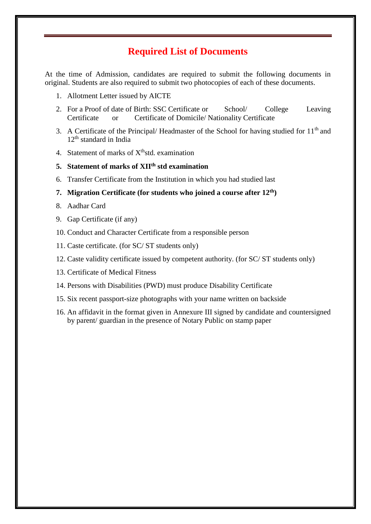## **Required List of Documents**

At the time of Admission, candidates are required to submit the following documents in original. Students are also required to submit two photocopies of each of these documents.

- 1. Allotment Letter issued by AICTE
- 2. For a Proof of date of Birth: SSC Certificate or School/ College Leaving Certificate or Certificate of Domicile/ Nationality Certificate
- 3. A Certificate of the Principal/ Headmaster of the School for having studied for  $11<sup>th</sup>$  and 12<sup>th</sup> standard in India
- 4. Statement of marks of  $X<sup>th</sup>$ std. examination

### **5. Statement of marks of XIIth std examination**

6. Transfer Certificate from the Institution in which you had studied last

#### **7. Migration Certificate (for students who joined a course after 12th)**

- 8. Aadhar Card
- 9. Gap Certificate (if any)
- 10. Conduct and Character Certificate from a responsible person
- 11. Caste certificate. (for SC/ ST students only)
- 12. Caste validity certificate issued by competent authority. (for SC/ ST students only)
- 13. Certificate of Medical Fitness
- 14. Persons with Disabilities (PWD) must produce Disability Certificate
- 15. Six recent passport-size photographs with your name written on backside
- 16. An affidavit in the format given in Annexure III signed by candidate and countersigned by parent/ guardian in the presence of Notary Public on stamp paper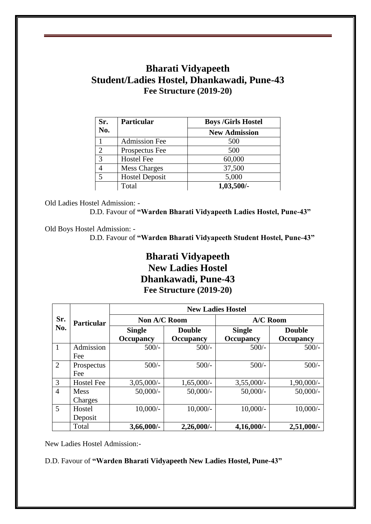## **Bharati Vidyapeeth Student/Ladies Hostel, Dhankawadi, Pune-43 Fee Structure (2019-20)**

| Sr.            | <b>Particular</b>     | <b>Boys /Girls Hostel</b> |  |
|----------------|-----------------------|---------------------------|--|
| No.            |                       | <b>New Admission</b>      |  |
|                | <b>Admission Fee</b>  | 500                       |  |
| $\overline{2}$ | Prospectus Fee        | 500                       |  |
| 3              | <b>Hostel Fee</b>     | 60,000                    |  |
| 4              | <b>Mess Charges</b>   | 37,500                    |  |
| 5              | <b>Hostel Deposit</b> | 5,000                     |  |
|                | Total                 | 1,03,500/-                |  |

Old Ladies Hostel Admission: -

D.D. Favour of **"Warden Bharati Vidyapeeth Ladies Hostel, Pune-43"**

Old Boys Hostel Admission: -

D.D. Favour of **"Warden Bharati Vidyapeeth Student Hostel, Pune-43"**

# **Bharati Vidyapeeth New Ladies Hostel Dhankawadi, Pune-43 Fee Structure (2019-20)**

|                | <b>Particular</b> | <b>New Ladies Hostel</b> |                  |                  |                  |
|----------------|-------------------|--------------------------|------------------|------------------|------------------|
| Sr.            |                   | Non A/C Room             |                  | A/C Room         |                  |
| No.            |                   | <b>Single</b>            | <b>Double</b>    | <b>Single</b>    | <b>Double</b>    |
|                |                   | Occupancy                | <b>Occupancy</b> | <b>Occupancy</b> | <b>Occupancy</b> |
| $\mathbf{1}$   | Admission         | $500/-$                  | $500/-$          | $500/-$          | $500/-$          |
|                | Fee               |                          |                  |                  |                  |
| $\overline{2}$ | Prospectus        | $500/-$                  | $500/-$          | $500/-$          | $500/-$          |
|                | Fee               |                          |                  |                  |                  |
| 3              | <b>Hostel Fee</b> | $3,05,000/-$             | $1,65,000/-$     | $3,55,000/-$     | 1,90,000/-       |
| $\overline{4}$ | <b>Mess</b>       | $50,000/-$               | $50,000/-$       | $50,000/-$       | $50,000/-$       |
|                | Charges           |                          |                  |                  |                  |
| 5              | Hostel            | $10,000/-$               | $10,000/-$       | $10,000/-$       | $10,000/-$       |
|                | Deposit           |                          |                  |                  |                  |
|                | Total             | 3,66,000/-               | $2,26,000/$ -    | $4,16,000/$ -    | $2,51,000/$ -    |

New Ladies Hostel Admission:-

D.D. Favour of **"Warden Bharati Vidyapeeth New Ladies Hostel, Pune-43"**